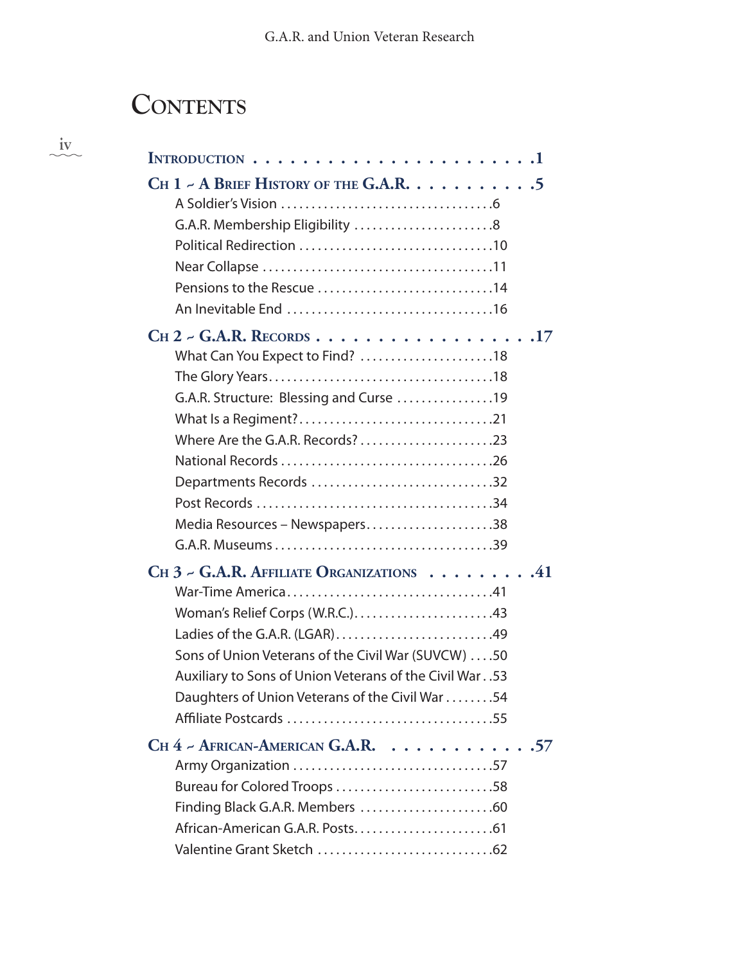## **Contents**

 $\frac{i\mathbf{v}}{i\mathbf{v}}$ 

| INTRODUCTION $\ldots \ldots \ldots \ldots \ldots \ldots \ldots \ldots$                                                                                                                                                                                                                                |  |
|-------------------------------------------------------------------------------------------------------------------------------------------------------------------------------------------------------------------------------------------------------------------------------------------------------|--|
| CH 1 ~ A BRIEF HISTORY OF THE G.A.R. 5<br>Pensions to the Rescue 14                                                                                                                                                                                                                                   |  |
| What Can You Expect to Find? 18<br>G.A.R. Structure: Blessing and Curse 19<br>Departments Records 32<br>Media Resources – Newspapers38                                                                                                                                                                |  |
| CH $3$ - G.A.R. AFFILIATE ORGANIZATIONS $\dots \dots \dots$<br>Woman's Relief Corps (W.R.C.)43<br>Ladies of the G.A.R. (LGAR)49<br>Sons of Union Veterans of the Civil War (SUVCW) 50<br>Auxiliary to Sons of Union Veterans of the Civil War. .53<br>Daughters of Union Veterans of the Civil War 54 |  |
| CH 4 - AFRICAN-AMERICAN G.A.R. 57<br>Bureau for Colored Troops 58<br>Finding Black G.A.R. Members 60                                                                                                                                                                                                  |  |